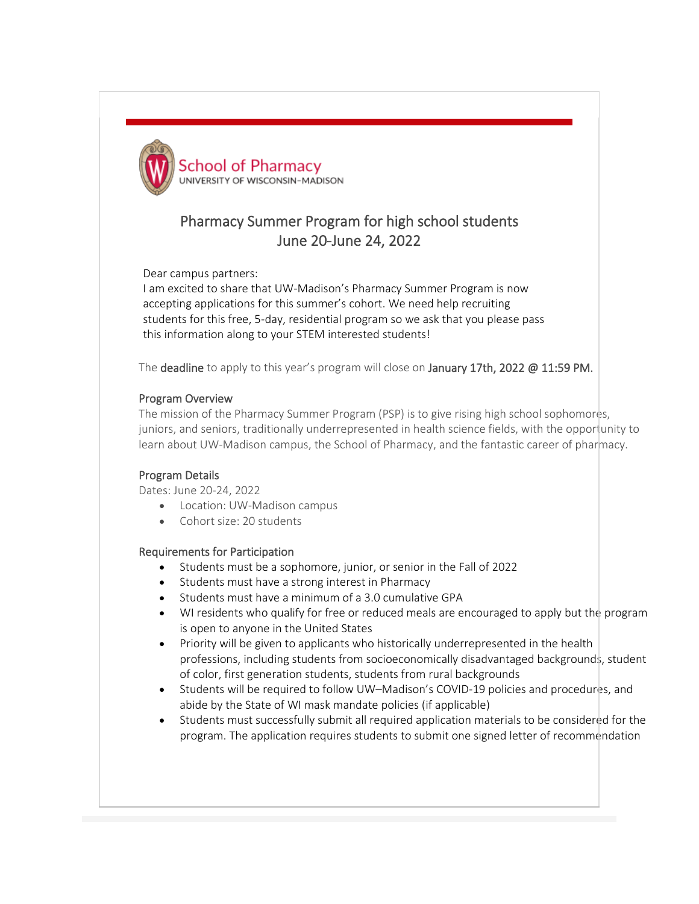

# Pharmacy Summer Program for high school students June 20-June 24, 2022

Dear campus partners:

I am excited to share that UW-Madison's Pharmacy Summer Program is now accepting applications for this summer's cohort. We need help recruiting students for this free, 5-day, residential program so we ask that you please pass this information along to your STEM interested students!

The deadline to apply to this year's program will close on January 17th, 2022 @ 11:59 PM.

### Program Overview

The mission of the Pharmacy Summer Program (PSP) is to give rising high school sophomores, juniors, and seniors, traditionally underrepresented in health science fields, with the opportunity to learn about UW-Madison campus, the School of Pharmacy, and the fantastic career of pharmacy.

## Program Details

Dates: June 20-24, 2022

- Location: UW-Madison campus
- Cohort size: 20 students

### Requirements for Participation

- Students must be a sophomore, junior, or senior in the Fall of 2022
- Students must have a strong interest in Pharmacy
- Students must have a minimum of a 3.0 cumulative GPA
- WI residents who qualify for free or reduced meals are encouraged to apply but the program is open to anyone in the United States
- Priority will be given to applicants who historically underrepresented in the health professions, including students from socioeconomically disadvantaged backgrounds, student of color, first generation students, students from rural backgrounds
- Students will be required to follow UW–Madison's COVID-19 policies and procedures, and abide by the State of WI mask mandate policies (if applicable)
- Students must successfully submit all required application materials to be considered for the program. The application requires students to submit one signed letter of recommendation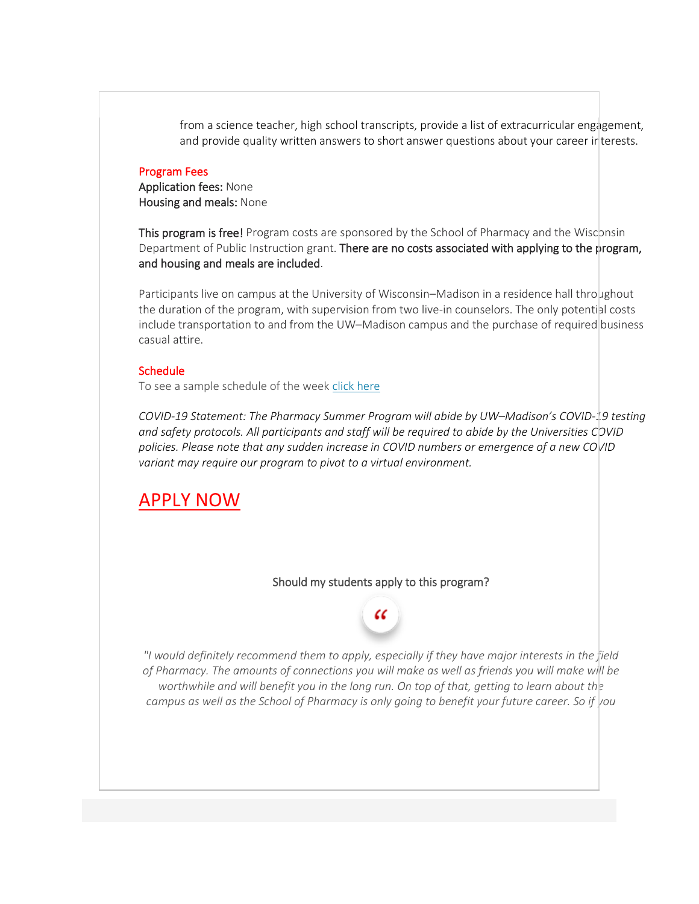from a science teacher, high school transcripts, provide a list of extracurricular engagement, and provide quality written answers to short answer questions about your career interests.

#### Program Fees

Application fees: None Housing and meals: None

This program is free! Program costs are sponsored by the School of Pharmacy and the Wisconsin Department of Public Instruction grant. There are no costs associated with applying to the program, and housing and meals are included.

Participants live on campus at the University of Wisconsin–Madison in a residence hall throughout the duration of the program, with supervision from two live-in counselors. The only potential costs include transportation to and from the UW–Madison campus and the purchase of required business casual attire.

#### **Schedule**

To see a sample schedule of the week [click here](https://nam02.safelinks.protection.outlook.com/?url=https%3A%2F%2Fcdn2.hubspot.net%2Fhubfs%2F4329233%2FPHARMACY%2520SUMMER%2520PROGRAM%2FPSP-2020_sampleSchedule.jpg%3Futm_source%3Dhs_email%26utm_medium%3Demail%26_hsenc%3Dp2ANqtz-9F_6PzP7seJzow4-k8F9F-NBiuTIPQs_rw80zYMF3N_GtWHEmU_dGXX6WkkMo_45yBeCka&data=04%7C01%7Cjninham2%40oneidanation.org%7Cc9318b8685594c252e8f08d9b9a78dbc%7Cc7e7a09730aa485ea37b537c20f88623%7C0%7C0%7C637744951601494182%7CUnknown%7CTWFpbGZsb3d8eyJWIjoiMC4wLjAwMDAiLCJQIjoiV2luMzIiLCJBTiI6Ik1haWwiLCJXVCI6Mn0%3D%7C3000&sdata=8HHvtRAETdUP6LhYkIfpClPeIwdW%2F0AMl9layoh47pc%3D&reserved=0)

*COVID-19 Statement: The Pharmacy Summer Program will abide by UW–Madison's COVID-19 testing and safety protocols. All participants and staff will be required to abide by the Universities COVID policies. Please note that any sudden increase in COVID numbers or emergence of a new COVID variant may require our program to pivot to a virtual environment.*

## [APPLY NOW](https://nam02.safelinks.protection.outlook.com/?url=https%3A%2F%2Fpharmacy.wisc.edu%2Facademics%2Fpharmd%2Fhigh-school-summer-program%2F&data=04%7C01%7Cjninham2%40oneidanation.org%7Cc9318b8685594c252e8f08d9b9a78dbc%7Cc7e7a09730aa485ea37b537c20f88623%7C0%7C0%7C637744951601504178%7CUnknown%7CTWFpbGZsb3d8eyJWIjoiMC4wLjAwMDAiLCJQIjoiV2luMzIiLCJBTiI6Ik1haWwiLCJXVCI6Mn0%3D%7C3000&sdata=64rxP1EqOnVDVtS7CnDJ1TTG%2F8F07p9Y3yEtXAeYqQQ%3D&reserved=0)

#### Should my students apply to this program?

ረረ

*"I would definitely recommend them to apply, especially if they have major interests in the field of Pharmacy. The amounts of connections you will make as well as friends you will make will be worthwhile and will benefit you in the long run. On top of that, getting to learn about the campus as well as the School of Pharmacy is only going to benefit your future career. So if you*